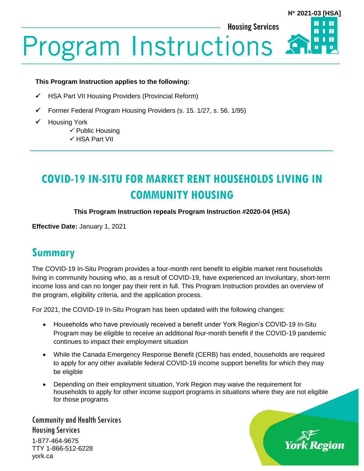**Housing Services** 

#### **N 2021-03 [HSA]**

Ш

П

# **Program Instructions**

#### **This Program Instruction applies to the following:**

- ✓ HSA Part VII Housing Providers (Provincial Reform)
- ✓ Former Federal Program Housing Providers (s. 15. 1/27, s. 56. 1/95)
- ✓ Housing York
	- $\checkmark$  Public Housing
	- ✓ HSA Part VII

# **COVID-19 IN-SITU FOR MARKET RENT HOUSEHOLDS LIVING IN COMMUNITY HOUSING**

#### **This Program Instruction repeals Program Instruction #2020-04 (HSA)**

**Effective Date:** January 1, 2021

# **Summary**

The COVID-19 In-Situ Program provides a four-month rent benefit to eligible market rent households living in community housing who, as a result of COVID-19, have experienced an involuntary, short-term income loss and can no longer pay their rent in full. This Program Instruction provides an overview of the program, eligibility criteria, and the application process.

For 2021, the COVID-19 In-Situ Program has been updated with the following changes:

- Households who have previously received a benefit under York Region's COVID-19 In-Situ Program may be eligible to receive an additional four-month benefit if the COVID-19 pandemic continues to impact their employment situation
- While the Canada Emergency Response Benefit (CERB) has ended, households are required to apply for any other available federal COVID-19 income support benefits for which they may be eligible
- Depending on their employment situation, York Region may waive the requirement for households to apply for other income support programs in situations where they are not eligible for those programs

Community and Health Services Housing Services 1-877-464-9675 TTY 1-866-512-6228 york.ca

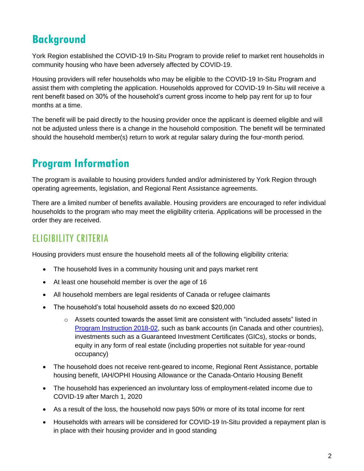# **Background**

York Region established the COVID-19 In-Situ Program to provide relief to market rent households in community housing who have been adversely affected by COVID-19.

Housing providers will refer households who may be eligible to the COVID-19 In-Situ Program and assist them with completing the application. Households approved for COVID-19 In-Situ will receive a rent benefit based on 30% of the household's current gross income to help pay rent for up to four months at a time.

The benefit will be paid directly to the housing provider once the applicant is deemed eligible and will not be adjusted unless there is a change in the household composition. The benefit will be terminated should the household member(s) return to work at regular salary during the four-month period.

# **Program Information**

The program is available to housing providers funded and/or administered by York Region through operating agreements, legislation, and Regional Rent Assistance agreements.

There are a limited number of benefits available. Housing providers are encouraged to refer individual households to the program who may meet the eligibility criteria. Applications will be processed in the order they are received.

# ELIGIBILITY CRITERIA

Housing providers must ensure the household meets all of the following eligibility criteria:

- The household lives in a community housing unit and pays market rent
- At least one household member is over the age of 16
- All household members are legal residents of Canada or refugee claimants
- The household's total household assets do no exceed \$20,000
	- $\circ$  Assets counted towards the asset limit are consistent with "included assets" listed in [Program Instruction 2018-02,](https://www.york.ca/wps/wcm/connect/yorkpublic/35bdb405-3265-43fb-9f34-1be13bce7de6/PI-2018-02-ILIAL+Phase+1-New+Tenants+Receiving+Regional+Rent+Assistance.pdf?MOD=AJPERES) such as bank accounts (in Canada and other countries), investments such as a Guaranteed Investment Certificates (GICs), stocks or bonds, equity in any form of real estate (including properties not suitable for year-round occupancy)
- The household does not receive rent-geared to income, Regional Rent Assistance, portable housing benefit, IAH/OPHI Housing Allowance or the Canada-Ontario Housing Benefit
- The household has experienced an involuntary loss of employment-related income due to COVID-19 after March 1, 2020
- As a result of the loss, the household now pays 50% or more of its total income for rent
- Households with arrears will be considered for COVID-19 In-Situ provided a repayment plan is in place with their housing provider and in good standing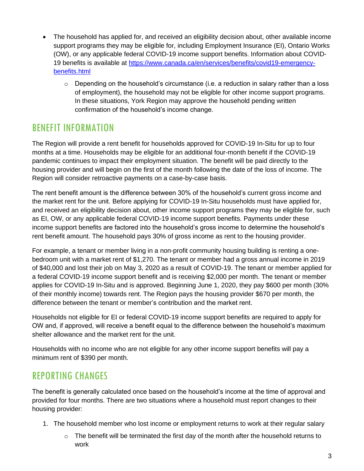- The household has applied for, and received an eligibility decision about, other available income support programs they may be eligible for, including Employment Insurance (EI), Ontario Works (OW), or any applicable federal COVID-19 income support benefits. Information about COVID-19 benefits is available at [https://www.canada.ca/en/services/benefits/covid19-emergency](https://www.canada.ca/en/services/benefits/covid19-emergency-benefits.html)[benefits.html](https://www.canada.ca/en/services/benefits/covid19-emergency-benefits.html)
	- $\circ$  Depending on the household's circumstance (i.e. a reduction in salary rather than a loss of employment), the household may not be eligible for other income support programs. In these situations, York Region may approve the household pending written confirmation of the household's income change.

### BENEFIT INFORMATION

The Region will provide a rent benefit for households approved for COVID-19 In-Situ for up to four months at a time. Households may be eligible for an additional four-month benefit if the COVID-19 pandemic continues to impact their employment situation. The benefit will be paid directly to the housing provider and will begin on the first of the month following the date of the loss of income. The Region will consider retroactive payments on a case-by-case basis.

The rent benefit amount is the difference between 30% of the household's current gross income and the market rent for the unit. Before applying for COVID-19 In-Situ households must have applied for, and received an eligibility decision about, other income support programs they may be eligible for, such as EI, OW, or any applicable federal COVID-19 income support benefits. Payments under these income support benefits are factored into the household's gross income to determine the household's rent benefit amount. The household pays 30% of gross income as rent to the housing provider.

For example, a tenant or member living in a non-profit community housing building is renting a onebedroom unit with a market rent of \$1,270. The tenant or member had a gross annual income in 2019 of \$40,000 and lost their job on May 3, 2020 as a result of COVID-19. The tenant or member applied for a federal COVID-19 income support benefit and is receiving \$2,000 per month. The tenant or member applies for COVID-19 In-Situ and is approved. Beginning June 1, 2020, they pay \$600 per month (30% of their monthly income) towards rent. The Region pays the housing provider \$670 per month, the difference between the tenant or member's contribution and the market rent.

Households not eligible for EI or federal COVID-19 income support benefits are required to apply for OW and, if approved, will receive a benefit equal to the difference between the household's maximum shelter allowance and the market rent for the unit.

Households with no income who are not eligible for any other income support benefits will pay a minimum rent of \$390 per month.

## REPORTING CHANGES

The benefit is generally calculated once based on the household's income at the time of approval and provided for four months. There are two situations where a household must report changes to their housing provider:

- 1. The household member who lost income or employment returns to work at their regular salary
	- $\circ$  The benefit will be terminated the first day of the month after the household returns to work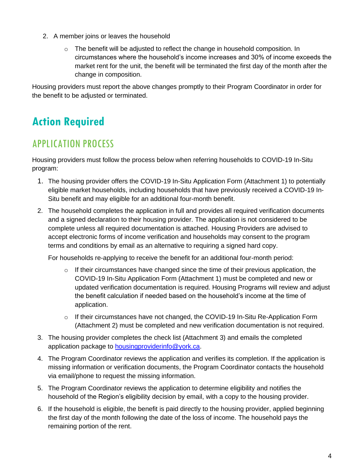- 2. A member joins or leaves the household
	- $\circ$  The benefit will be adjusted to reflect the change in household composition. In circumstances where the household's income increases and 30% of income exceeds the market rent for the unit, the benefit will be terminated the first day of the month after the change in composition.

Housing providers must report the above changes promptly to their Program Coordinator in order for the benefit to be adjusted or terminated.

# **Action Required**

## APPLICATION PROCESS

Housing providers must follow the process below when referring households to COVID-19 In-Situ program:

- 1. The housing provider offers the COVID-19 In-Situ Application Form (Attachment 1) to potentially eligible market households, including households that have previously received a COVID-19 In-Situ benefit and may eligible for an additional four-month benefit.
- 2. The household completes the application in full and provides all required verification documents and a signed declaration to their housing provider. The application is not considered to be complete unless all required documentation is attached. Housing Providers are advised to accept electronic forms of income verification and households may consent to the program terms and conditions by email as an alternative to requiring a signed hard copy.

For households re-applying to receive the benefit for an additional four-month period:

- $\circ$  If their circumstances have changed since the time of their previous application, the COVID-19 In-Situ Application Form (Attachment 1) must be completed and new or updated verification documentation is required. Housing Programs will review and adjust the benefit calculation if needed based on the household's income at the time of application.
- $\circ$  If their circumstances have not changed, the COVID-19 In-Situ Re-Application Form (Attachment 2) must be completed and new verification documentation is not required.
- 3. The housing provider completes the check list (Attachment 3) and emails the completed application package to **housingproviderinfo@york.ca**.
- 4. The Program Coordinator reviews the application and verifies its completion. If the application is missing information or verification documents, the Program Coordinator contacts the household via email/phone to request the missing information.
- 5. The Program Coordinator reviews the application to determine eligibility and notifies the household of the Region's eligibility decision by email, with a copy to the housing provider.
- 6. If the household is eligible, the benefit is paid directly to the housing provider, applied beginning the first day of the month following the date of the loss of income. The household pays the remaining portion of the rent.